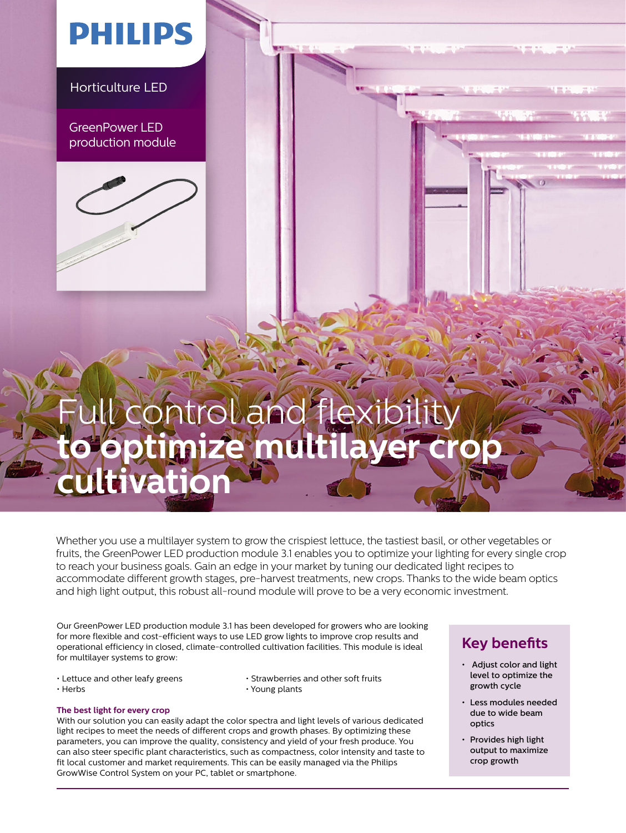## **PHILIPS**

Horticulture LED

GreenPower LED production module



## control and fl timize multil **tivation**

Whether you use a multilayer system to grow the crispiest lettuce, the tastiest basil, or other vegetables or fruits, the GreenPower LED production module 3.1 enables you to optimize your lighting for every single crop to reach your business goals. Gain an edge in your market by tuning our dedicated light recipes to accommodate different growth stages, pre-harvest treatments, new crops. Thanks to the wide beam optics and high light output, this robust all-round module will prove to be a very economic investment.

Our GreenPower LED production module 3.1 has been developed for growers who are looking for more flexible and cost-efficient ways to use LED grow lights to improve crop results and operational efficiency in closed, climate-controlled cultivation facilities. This module is ideal for multilayer systems to grow:

- 
- Lettuce and other leafy greens Strawberries and other soft fruits<br>• Herbs Young plants  $\cdot$  Young plants

#### **The best light for every crop**

With our solution you can easily adapt the color spectra and light levels of various dedicated light recipes to meet the needs of different crops and growth phases. By optimizing these parameters, you can improve the quality, consistency and yield of your fresh produce. You can also steer specific plant characteristics, such as compactness, color intensity and taste to fit local customer and market requirements. This can be easily managed via the Philips GrowWise Control System on your PC, tablet or smartphone.

### **Key benefits**

- Adjust color and light level to optimize the growth cycle
- Less modules needed due to wide beam optics
- Provides high light output to maximize crop growth